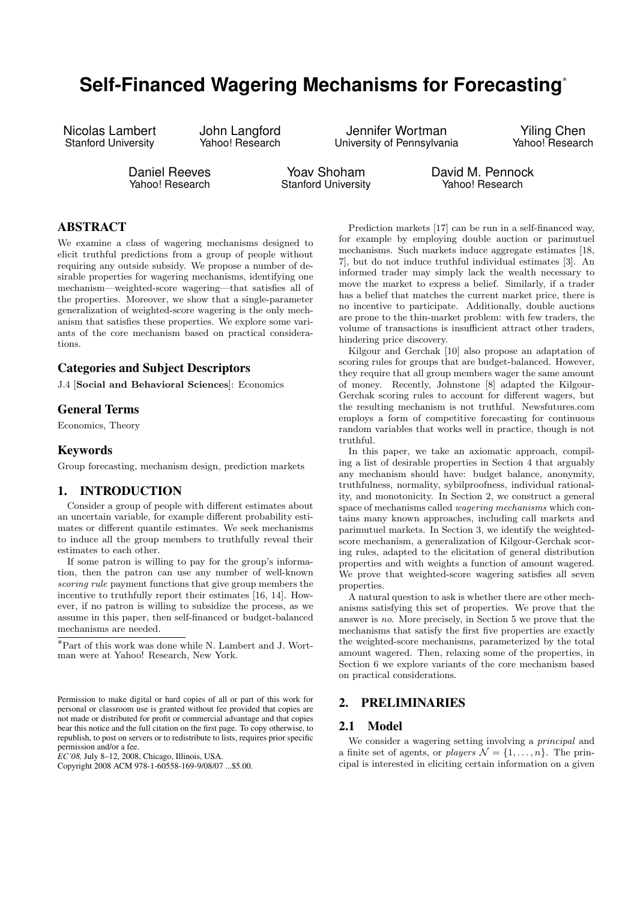# **Self-Financed Wagering Mechanisms for Forecasting**<sup>∗</sup>

Nicolas Lambert Stanford University

John Langford Yahoo! Research

Jennifer Wortman University of Pennsylvania

Yiling Chen Yahoo! Research

Daniel Reeves Yahoo! Research

Yoav Shoham Stanford University David M. Pennock Yahoo! Research

# ABSTRACT

We examine a class of wagering mechanisms designed to elicit truthful predictions from a group of people without requiring any outside subsidy. We propose a number of desirable properties for wagering mechanisms, identifying one mechanism—weighted-score wagering—that satisfies all of the properties. Moreover, we show that a single-parameter generalization of weighted-score wagering is the only mechanism that satisfies these properties. We explore some variants of the core mechanism based on practical considerations.

## Categories and Subject Descriptors

J.4 [Social and Behavioral Sciences]: Economics

# General Terms

Economics, Theory

# Keywords

Group forecasting, mechanism design, prediction markets

# 1. INTRODUCTION

Consider a group of people with different estimates about an uncertain variable, for example different probability estimates or different quantile estimates. We seek mechanisms to induce all the group members to truthfully reveal their estimates to each other.

If some patron is willing to pay for the group's information, then the patron can use any number of well-known scoring rule payment functions that give group members the incentive to truthfully report their estimates [16, 14]. However, if no patron is willing to subsidize the process, as we assume in this paper, then self-financed or budget-balanced mechanisms are needed.

*EC'08,* July 8–12, 2008, Chicago, Illinois, USA.

Prediction markets [17] can be run in a self-financed way, for example by employing double auction or parimutuel mechanisms. Such markets induce aggregate estimates [18, 7], but do not induce truthful individual estimates [3]. An informed trader may simply lack the wealth necessary to move the market to express a belief. Similarly, if a trader has a belief that matches the current market price, there is no incentive to participate. Additionally, double auctions are prone to the thin-market problem: with few traders, the volume of transactions is insufficient attract other traders, hindering price discovery.

Kilgour and Gerchak [10] also propose an adaptation of scoring rules for groups that are budget-balanced. However, they require that all group members wager the same amount of money. Recently, Johnstone [8] adapted the Kilgour-Gerchak scoring rules to account for different wagers, but the resulting mechanism is not truthful. Newsfutures.com employs a form of competitive forecasting for continuous random variables that works well in practice, though is not truthful.

In this paper, we take an axiomatic approach, compiling a list of desirable properties in Section 4 that arguably any mechanism should have: budget balance, anonymity, truthfulness, normality, sybilproofness, individual rationality, and monotonicity. In Section 2, we construct a general space of mechanisms called wagering mechanisms which contains many known approaches, including call markets and parimutuel markets. In Section 3, we identify the weightedscore mechanism, a generalization of Kilgour-Gerchak scoring rules, adapted to the elicitation of general distribution properties and with weights a function of amount wagered. We prove that weighted-score wagering satisfies all seven properties.

A natural question to ask is whether there are other mechanisms satisfying this set of properties. We prove that the answer is no. More precisely, in Section 5 we prove that the mechanisms that satisfy the first five properties are exactly the weighted-score mechanisms, parameterized by the total amount wagered. Then, relaxing some of the properties, in Section 6 we explore variants of the core mechanism based on practical considerations.

# 2. PRELIMINARIES

#### 2.1 Model

We consider a wagering setting involving a *principal* and a finite set of agents, or *players*  $\mathcal{N} = \{1, \ldots, n\}$ . The principal is interested in eliciting certain information on a given

<sup>∗</sup>Part of this work was done while N. Lambert and J. Wortman were at Yahoo! Research, New York.

Permission to make digital or hard copies of all or part of this work for personal or classroom use is granted without fee provided that copies are not made or distributed for profit or commercial advantage and that copies bear this notice and the full citation on the first page. To copy otherwise, to republish, to post on servers or to redistribute to lists, requires prior specific permission and/or a fee.

Copyright 2008 ACM 978-1-60558-169-9/08/07 ...\$5.00.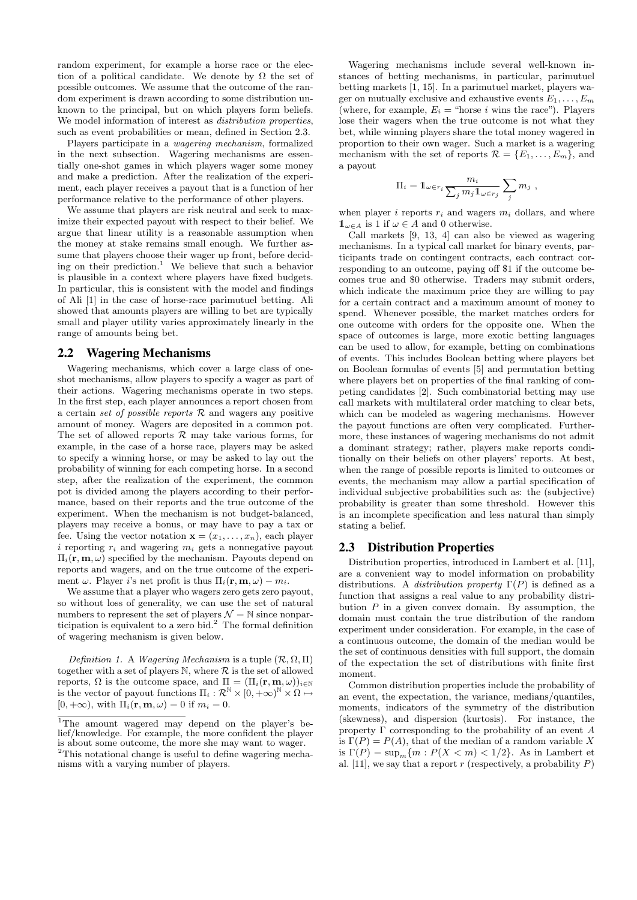random experiment, for example a horse race or the election of a political candidate. We denote by  $\Omega$  the set of possible outcomes. We assume that the outcome of the random experiment is drawn according to some distribution unknown to the principal, but on which players form beliefs. We model information of interest as distribution properties, such as event probabilities or mean, defined in Section 2.3.

Players participate in a wagering mechanism, formalized in the next subsection. Wagering mechanisms are essentially one-shot games in which players wager some money and make a prediction. After the realization of the experiment, each player receives a payout that is a function of her performance relative to the performance of other players.

We assume that players are risk neutral and seek to maximize their expected payout with respect to their belief. We argue that linear utility is a reasonable assumption when the money at stake remains small enough. We further assume that players choose their wager up front, before deciding on their prediction.<sup>1</sup> We believe that such a behavior is plausible in a context where players have fixed budgets. In particular, this is consistent with the model and findings of Ali [1] in the case of horse-race parimutuel betting. Ali showed that amounts players are willing to bet are typically small and player utility varies approximately linearly in the range of amounts being bet.

#### 2.2 Wagering Mechanisms

Wagering mechanisms, which cover a large class of oneshot mechanisms, allow players to specify a wager as part of their actions. Wagering mechanisms operate in two steps. In the first step, each player announces a report chosen from a certain set of possible reports  $R$  and wagers any positive amount of money. Wagers are deposited in a common pot. The set of allowed reports  $\mathcal R$  may take various forms, for example, in the case of a horse race, players may be asked to specify a winning horse, or may be asked to lay out the probability of winning for each competing horse. In a second step, after the realization of the experiment, the common pot is divided among the players according to their performance, based on their reports and the true outcome of the experiment. When the mechanism is not budget-balanced, players may receive a bonus, or may have to pay a tax or fee. Using the vector notation  $\mathbf{x} = (x_1, \ldots, x_n)$ , each player i reporting  $r_i$  and wagering  $m_i$  gets a nonnegative payout  $\Pi_i(\mathbf{r}, \mathbf{m}, \omega)$  specified by the mechanism. Payouts depend on reports and wagers, and on the true outcome of the experiment  $\omega$ . Player *i*'s net profit is thus  $\Pi_i(\mathbf{r}, \mathbf{m}, \omega) - m_i$ .

We assume that a player who wagers zero gets zero payout, so without loss of generality, we can use the set of natural numbers to represent the set of players  $\mathcal{N} = \mathbb{N}$  since nonparticipation is equivalent to a zero bid.<sup>2</sup> The formal definition of wagering mechanism is given below.

Definition 1. A Wagering Mechanism is a tuple  $(\mathcal{R}, \Omega, \Pi)$ together with a set of players  $\mathbb N$ , where  $\mathcal R$  is the set of allowed reports,  $\Omega$  is the outcome space, and  $\Pi = (\Pi_i(\mathbf{r}, \mathbf{m}, \omega))_{i \in \mathbb{N}}$ is the vector of payout functions  $\Pi_i : \mathcal{R}^{\mathbb{N}} \times [0, +\infty)^{\mathbb{N}} \times \Omega \mapsto$  $[0, +\infty)$ , with  $\Pi_i(\mathbf{r}, \mathbf{m}, \omega) = 0$  if  $m_i = 0$ .

Wagering mechanisms include several well-known instances of betting mechanisms, in particular, parimutuel betting markets [1, 15]. In a parimutuel market, players wager on mutually exclusive and exhaustive events  $E_1, \ldots, E_m$ (where, for example,  $E_i$  = "horse *i* wins the race"). Players lose their wagers when the true outcome is not what they bet, while winning players share the total money wagered in proportion to their own wager. Such a market is a wagering mechanism with the set of reports  $\mathcal{R} = \{E_1, \ldots, E_m\}$ , and a payout

$$
\Pi_i = \mathbbm{1}_{\omega \in r_i} \frac{m_i}{\sum_j m_j \mathbbm{1}_{\omega \in r_j}} \sum_j m_j ,
$$

when player i reports  $r_i$  and wagers  $m_i$  dollars, and where  $\mathbb{1}_{\omega \in A}$  is 1 if  $\omega \in A$  and 0 otherwise.

Call markets [9, 13, 4] can also be viewed as wagering mechanisms. In a typical call market for binary events, participants trade on contingent contracts, each contract corresponding to an outcome, paying off \$1 if the outcome becomes true and \$0 otherwise. Traders may submit orders, which indicate the maximum price they are willing to pay for a certain contract and a maximum amount of money to spend. Whenever possible, the market matches orders for one outcome with orders for the opposite one. When the space of outcomes is large, more exotic betting languages can be used to allow, for example, betting on combinations of events. This includes Boolean betting where players bet on Boolean formulas of events [5] and permutation betting where players bet on properties of the final ranking of competing candidates [2]. Such combinatorial betting may use call markets with multilateral order matching to clear bets, which can be modeled as wagering mechanisms. However the payout functions are often very complicated. Furthermore, these instances of wagering mechanisms do not admit a dominant strategy; rather, players make reports conditionally on their beliefs on other players' reports. At best, when the range of possible reports is limited to outcomes or events, the mechanism may allow a partial specification of individual subjective probabilities such as: the (subjective) probability is greater than some threshold. However this is an incomplete specification and less natural than simply stating a belief.

## 2.3 Distribution Properties

Distribution properties, introduced in Lambert et al. [11], are a convenient way to model information on probability distributions. A *distribution property*  $\Gamma(P)$  is defined as a function that assigns a real value to any probability distribution  $P$  in a given convex domain. By assumption, the domain must contain the true distribution of the random experiment under consideration. For example, in the case of a continuous outcome, the domain of the median would be the set of continuous densities with full support, the domain of the expectation the set of distributions with finite first moment.

Common distribution properties include the probability of an event, the expectation, the variance, medians/quantiles, moments, indicators of the symmetry of the distribution (skewness), and dispersion (kurtosis). For instance, the property Γ corresponding to the probability of an event  $A$ is  $\Gamma(P) = P(A)$ , that of the median of a random variable X is  $\Gamma(P) = \sup_m \{m : P(X < m) < 1/2\}$ . As in Lambert et al. [11], we say that a report r (respectively, a probability  $P$ )

<sup>&</sup>lt;sup>1</sup>The amount wagered may depend on the player's belief/knowledge. For example, the more confident the player is about some outcome, the more she may want to wager.

<sup>&</sup>lt;sup>2</sup>This notational change is useful to define wagering mechanisms with a varying number of players.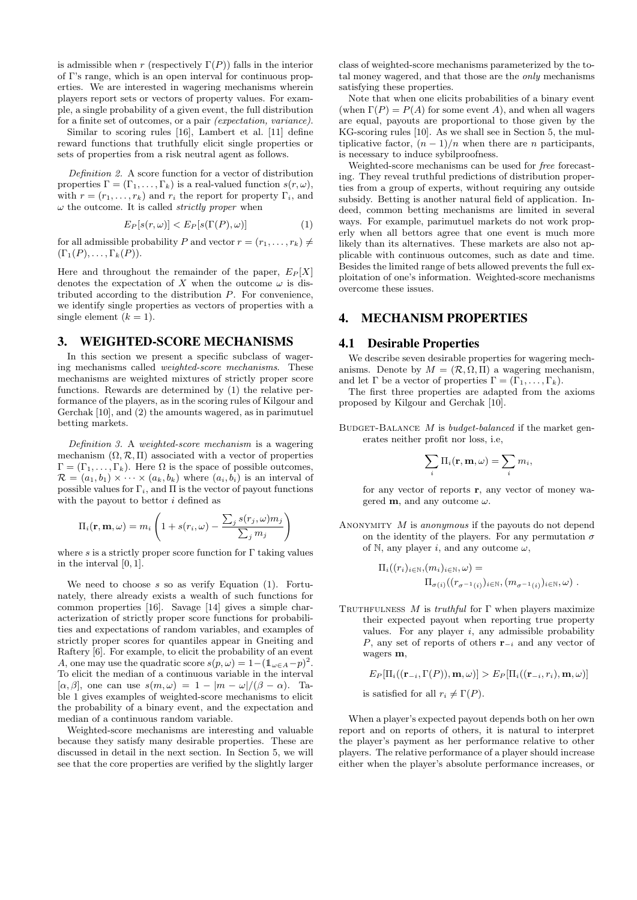is admissible when r (respectively  $\Gamma(P)$ ) falls in the interior of Γ's range, which is an open interval for continuous properties. We are interested in wagering mechanisms wherein players report sets or vectors of property values. For example, a single probability of a given event, the full distribution for a finite set of outcomes, or a pair (expectation, variance).

Similar to scoring rules [16], Lambert et al. [11] define reward functions that truthfully elicit single properties or sets of properties from a risk neutral agent as follows.

Definition 2. A score function for a vector of distribution properties  $\Gamma = (\Gamma_1, \ldots, \Gamma_k)$  is a real-valued function  $s(r, \omega)$ , with  $r = (r_1, \ldots, r_k)$  and  $r_i$  the report for property  $\Gamma_i$ , and  $\omega$  the outcome. It is called *strictly proper* when

$$
E_P[s(r,\omega)] < E_P[s(\Gamma(P),\omega)] \tag{1}
$$

for all admissible probability P and vector  $r = (r_1, \ldots, r_k) \neq$  $(\Gamma_1(P), \ldots, \Gamma_k(P)).$ 

Here and throughout the remainder of the paper,  $E_P[X]$ denotes the expectation of X when the outcome  $\omega$  is distributed according to the distribution P. For convenience, we identify single properties as vectors of properties with a single element  $(k = 1)$ .

#### 3. WEIGHTED-SCORE MECHANISMS

In this section we present a specific subclass of wagering mechanisms called weighted-score mechanisms. These mechanisms are weighted mixtures of strictly proper score functions. Rewards are determined by (1) the relative performance of the players, as in the scoring rules of Kilgour and Gerchak [10], and (2) the amounts wagered, as in parimutuel betting markets.

Definition 3. A weighted-score mechanism is a wagering mechanism  $(\Omega, \mathcal{R}, \Pi)$  associated with a vector of properties  $\Gamma = (\Gamma_1, \ldots, \Gamma_k)$ . Here  $\Omega$  is the space of possible outcomes,  $\mathcal{R} = (a_1, b_1) \times \cdots \times (a_k, b_k)$  where  $(a_i, b_i)$  is an interval of possible values for  $\Gamma_i$ , and  $\Pi$  is the vector of payout functions with the payout to bettor  $i$  defined as

$$
\Pi_i(\mathbf{r}, \mathbf{m}, \omega) = m_i \left( 1 + s(r_i, \omega) - \frac{\sum_j s(r_j, \omega) m_j}{\sum_j m_j} \right)
$$

where s is a strictly proper score function for  $\Gamma$  taking values in the interval [0, 1].

We need to choose  $s$  so as verify Equation (1). Fortunately, there already exists a wealth of such functions for common properties [16]. Savage [14] gives a simple characterization of strictly proper score functions for probabilities and expectations of random variables, and examples of strictly proper scores for quantiles appear in Gneiting and Raftery [6]. For example, to elicit the probability of an event A, one may use the quadratic score  $s(p, \omega) = 1 - (\mathbb{1}_{\omega \in A} - p)^2$ . To elicit the median of a continuous variable in the interval  $[\alpha, \beta]$ , one can use  $s(m, \omega) = 1 - |m - \omega|/(\beta - \alpha)$ . Table 1 gives examples of weighted-score mechanisms to elicit the probability of a binary event, and the expectation and median of a continuous random variable.

Weighted-score mechanisms are interesting and valuable because they satisfy many desirable properties. These are discussed in detail in the next section. In Section 5, we will see that the core properties are verified by the slightly larger

class of weighted-score mechanisms parameterized by the total money wagered, and that those are the only mechanisms satisfying these properties.

Note that when one elicits probabilities of a binary event (when  $\Gamma(P) = P(A)$  for some event A), and when all wagers are equal, payouts are proportional to those given by the KG-scoring rules [10]. As we shall see in Section 5, the multiplicative factor,  $(n-1)/n$  when there are n participants, is necessary to induce sybilproofness.

Weighted-score mechanisms can be used for free forecasting. They reveal truthful predictions of distribution properties from a group of experts, without requiring any outside subsidy. Betting is another natural field of application. Indeed, common betting mechanisms are limited in several ways. For example, parimutuel markets do not work properly when all bettors agree that one event is much more likely than its alternatives. These markets are also not applicable with continuous outcomes, such as date and time. Besides the limited range of bets allowed prevents the full exploitation of one's information. Weighted-score mechanisms overcome these issues.

# 4. MECHANISM PROPERTIES

#### 4.1 Desirable Properties

We describe seven desirable properties for wagering mechanisms. Denote by  $M = (\mathcal{R}, \Omega, \Pi)$  a wagering mechanism, and let  $\Gamma$  be a vector of properties  $\Gamma = (\Gamma_1, \ldots, \Gamma_k)$ .

The first three properties are adapted from the axioms proposed by Kilgour and Gerchak [10].

BUDGET-BALANCE  $M$  is budget-balanced if the market generates neither profit nor loss, i.e,

$$
\sum_i \Pi_i(\mathbf{r}, \mathbf{m}, \omega) = \sum_i m_i,
$$

for any vector of reports r, any vector of money wagered **m**, and any outcome  $\omega$ .

Anonymity M is anonymous if the payouts do not depend on the identity of the players. For any permutation  $\sigma$ of N, any player i, and any outcome  $\omega$ ,

$$
\Pi_i((r_i)_{i\in\mathbb{N}},(m_i)_{i\in\mathbb{N}},\omega) =
$$
  

$$
\Pi_{\sigma(i)}((r_{\sigma^{-1}(i)})_{i\in\mathbb{N}},(m_{\sigma^{-1}(i)})_{i\in\mathbb{N}},\omega).
$$

TRUTHFULNESS M is truthful for  $\Gamma$  when players maximize their expected payout when reporting true property values. For any player  $i$ , any admissible probability P, any set of reports of others  $\mathbf{r}_{-i}$  and any vector of wagers m,

$$
E_P[\Pi_i((\mathbf{r}_{-i}, \Gamma(P)), \mathbf{m}, \omega)] > E_P[\Pi_i((\mathbf{r}_{-i}, r_i), \mathbf{m}, \omega)]
$$

is satisfied for all  $r_i \neq \Gamma(P)$ .

When a player's expected payout depends both on her own report and on reports of others, it is natural to interpret the player's payment as her performance relative to other players. The relative performance of a player should increase either when the player's absolute performance increases, or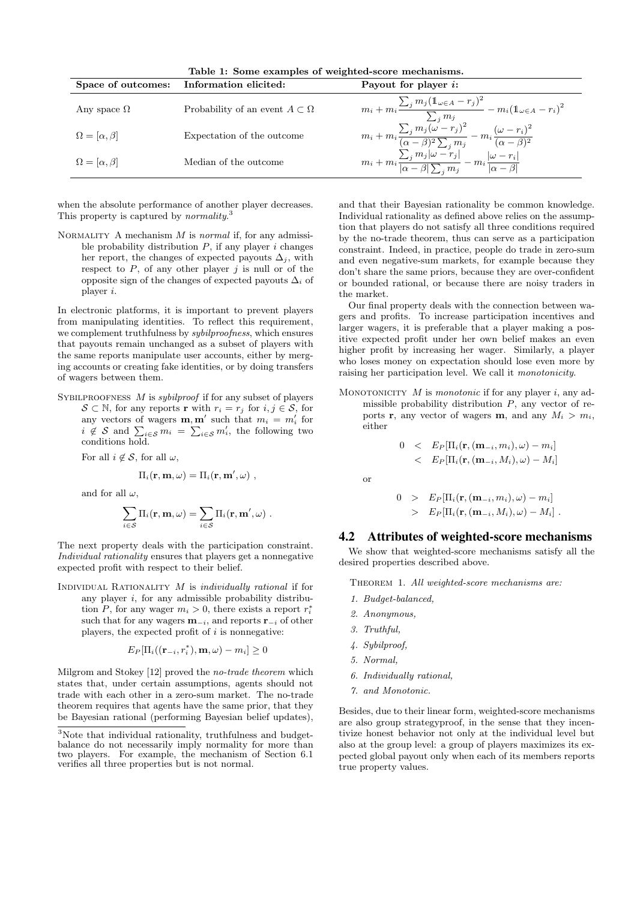| Space of outcomes:         | Information elicited:                      | Payout for player $i$ :                                                                                                                                                                                                                                                                                                                                                               |
|----------------------------|--------------------------------------------|---------------------------------------------------------------------------------------------------------------------------------------------------------------------------------------------------------------------------------------------------------------------------------------------------------------------------------------------------------------------------------------|
| Any space $\Omega$         | Probability of an event $A \subset \Omega$ | $m_i + m_i \frac{\sum_j m_j (\mathbb{1}_{\omega \in A} - r_j)^2}{\sum_j m_j} - m_i (\mathbb{1}_{\omega \in A} - r_i)^2$<br>$m_i + m_i \frac{\sum_j m_j (\omega - r_j)^2}{(\alpha - \beta)^2 \sum_j m_j} - m_i \frac{(\omega - r_i)^2}{(\alpha - \beta)^2}$<br>$m_i + m_i \frac{\sum_j m_j  \omega - r_j }{ \alpha - \beta  \sum_j m_j} - m_i \frac{ \omega - r_i }{ \alpha - \beta }$ |
| $\Omega = [\alpha, \beta]$ | Expectation of the outcome                 |                                                                                                                                                                                                                                                                                                                                                                                       |
| $\Omega = [\alpha, \beta]$ | Median of the outcome                      |                                                                                                                                                                                                                                                                                                                                                                                       |

when the absolute performance of another player decreases. This property is captured by *normality*.<sup>3</sup>

NORMALITY A mechanism  $M$  is normal if, for any admissible probability distribution  $P$ , if any player  $i$  changes her report, the changes of expected payouts  $\Delta_i$ , with respect to  $P$ , of any other player  $j$  is null or of the opposite sign of the changes of expected payouts  $\Delta_i$  of player i.

In electronic platforms, it is important to prevent players from manipulating identities. To reflect this requirement, we complement truthfulness by *sybilproofness*, which ensures that payouts remain unchanged as a subset of players with the same reports manipulate user accounts, either by merging accounts or creating fake identities, or by doing transfers of wagers between them.

SYBILPROOFNESS  $M$  is *sybilproof* if for any subset of players  $S \subset \mathbb{N}$ , for any reports **r** with  $r_i = r_j$  for  $i, j \in S$ , for any vectors of wagers **m**, **m'** such that  $m_i = m'_i$  for  $i \notin \mathcal{S}$  and  $\sum_{i \in \mathcal{S}} m_i = \sum_{i \in \mathcal{S}} m'_i$ , the following two conditions hold.

For all  $i \notin \mathcal{S}$ , for all  $\omega$ ,

$$
\Pi_i(\mathbf{r}, \mathbf{m}, \omega) = \Pi_i(\mathbf{r}, \mathbf{m}', \omega) ,
$$

and for all  $\omega$ ,

$$
\sum_{i \in \mathcal{S}} \Pi_i(\mathbf{r}, \mathbf{m}, \omega) = \sum_{i \in \mathcal{S}} \Pi_i(\mathbf{r}, \mathbf{m}', \omega) .
$$

The next property deals with the participation constraint. Individual rationality ensures that players get a nonnegative expected profit with respect to their belief.

INDIVIDUAL RATIONALITY  $M$  is *individually rational* if for any player i, for any admissible probability distribution P, for any wager  $m_i > 0$ , there exists a report  $r_i^*$ such that for any wagers  $\mathbf{m}_{-i}$ , and reports  $\mathbf{r}_{-i}$  of other players, the expected profit of  $i$  is nonnegative:

$$
E_P[\Pi_i((\mathbf{r}_{-i},r_i^*),\mathbf{m},\omega)-m_i]\geq 0
$$

Milgrom and Stokey [12] proved the no-trade theorem which states that, under certain assumptions, agents should not trade with each other in a zero-sum market. The no-trade theorem requires that agents have the same prior, that they be Bayesian rational (performing Bayesian belief updates),

and that their Bayesian rationality be common knowledge. Individual rationality as defined above relies on the assumption that players do not satisfy all three conditions required by the no-trade theorem, thus can serve as a participation constraint. Indeed, in practice, people do trade in zero-sum and even negative-sum markets, for example because they don't share the same priors, because they are over-confident or bounded rational, or because there are noisy traders in the market.

Our final property deals with the connection between wagers and profits. To increase participation incentives and larger wagers, it is preferable that a player making a positive expected profit under her own belief makes an even higher profit by increasing her wager. Similarly, a player who loses money on expectation should lose even more by raising her participation level. We call it monotonicity.

MONOTONICITY  $M$  is *monotonic* if for any player i, any admissible probability distribution  $P$ , any vector of reports **r**, any vector of wagers **m**, and any  $M_i > m_i$ , either

$$
0 < E_P[\Pi_i(\mathbf{r}, (\mathbf{m}_{-i}, m_i), \omega) - m_i] \\
 < E_P[\Pi_i(\mathbf{r}, (\mathbf{m}_{-i}, M_i), \omega) - M_i]
$$

or

$$
0 > E_P[\Pi_i(\mathbf{r}, (\mathbf{m}_{-i}, m_i), \omega) - m_i]
$$
  
>  $E_P[\Pi_i(\mathbf{r}, (\mathbf{m}_{-i}, M_i), \omega) - M_i].$ 

#### 4.2 Attributes of weighted-score mechanisms

We show that weighted-score mechanisms satisfy all the desired properties described above.

THEOREM 1. All weighted-score mechanisms are:

- 1. Budget-balanced,
- 2. Anonymous,
- 3. Truthful,
- 4. Sybilproof,
- 5. Normal,
- 6. Individually rational,
- 7. and Monotonic.

Besides, due to their linear form, weighted-score mechanisms are also group strategyproof, in the sense that they incentivize honest behavior not only at the individual level but also at the group level: a group of players maximizes its expected global payout only when each of its members reports true property values.

<sup>3</sup>Note that individual rationality, truthfulness and budgetbalance do not necessarily imply normality for more than two players. For example, the mechanism of Section 6.1 verifies all three properties but is not normal.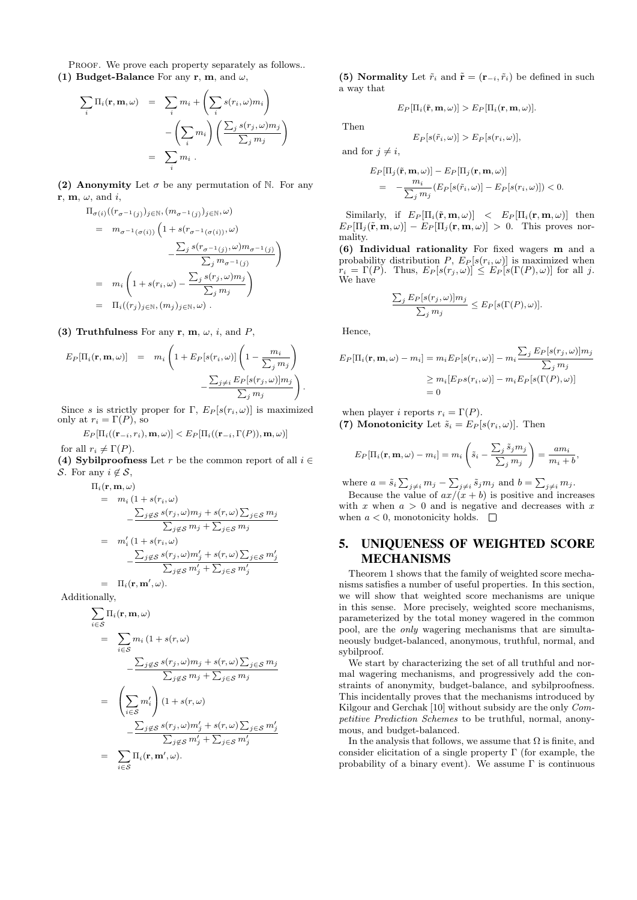PROOF. We prove each property separately as follows.. (1) Budget-Balance For any r, m, and  $\omega$ ,

$$
\sum_{i} \Pi_{i}(\mathbf{r}, \mathbf{m}, \omega) = \sum_{i} m_{i} + \left( \sum_{i} s(r_{i}, \omega) m_{i} \right) - \left( \sum_{i} m_{i} \right) \left( \frac{\sum_{j} s(r_{j}, \omega) m_{j}}{\sum_{j} m_{j}} \right)
$$

$$
= \sum_{i} m_{i} .
$$

(2) Anonymity Let  $\sigma$  be any permutation of N. For any  $\mathbf{r}, \, \mathbf{m}, \, \omega, \, \text{and } i,$ 

$$
\begin{array}{lcl} \Pi_{\sigma(i)}((r_{\sigma^{-1}(j)})_{j\in\mathbb{N}},(m_{\sigma^{-1}(j)})_{j\in\mathbb{N}},\omega) \\ \\ = & m_{\sigma^{-1}(\sigma(i))}\left(1+s(r_{\sigma^{-1}(\sigma(i))},\omega) \right. \\ & & \left. - \frac{\sum_j s(r_{\sigma^{-1}(j)},\omega)m_{\sigma^{-1}(j)}}{\sum_j m_{\sigma^{-1}(j)}} \right) \\ \\ = & m_i\left(1+s(r_i,\omega) - \frac{\sum_j s(r_j,\omega)m_j}{\sum_j m_j} \right) \\ \\ = & \Pi_i((r_j)_{j\in\mathbb{N}},(m_j)_{j\in\mathbb{N}},\omega) \ . \end{array}
$$

(3) Truthfulness For any r, m,  $\omega$ , *i*, and *P*,

$$
E_P[\Pi_i(\mathbf{r}, \mathbf{m}, \omega)] = m_i \left( 1 + E_P[s(r_i, \omega)] \left( 1 - \frac{m_i}{\sum_j m_j} \right) - \frac{\sum_{j \neq i} E_P[s(r_j, \omega)] m_j}{\sum_j m_j} \right).
$$

Since s is strictly proper for Γ,  $E_P[s(r_i, \omega)]$  is maximized only at  $r_i = \Gamma(P)$ , so

 $E_P[\Pi_i((\mathbf{r}_{-i},r_i),\mathbf{m},\omega)] < E_P[\Pi_i((\mathbf{r}_{-i},\Gamma(P)),\mathbf{m},\omega)]$ for all  $r_i \neq \Gamma(P)$ .

(4) Sybilproofness Let r be the common report of all  $i \in$ S. For any  $i \notin \mathcal{S}$ ,

$$
\Pi_i(\mathbf{r}, \mathbf{m}, \omega)
$$
\n
$$
= m_i (1 + s(r_i, \omega))
$$
\n
$$
- \frac{\sum_{j \notin S} s(r_j, \omega) m_j + s(r, \omega) \sum_{j \in S} m_j}{\sum_{j \notin S} m_j + \sum_{j \in S} m_j}
$$
\n
$$
= m'_i (1 + s(r_i, \omega))
$$
\n
$$
- \frac{\sum_{j \notin S} s(r_j, \omega) m'_j + s(r, \omega) \sum_{j \in S} m'_j}{\sum_{j \notin S} m'_j + \sum_{j \in S} m'_j}
$$
\n
$$
= \Pi_i(\mathbf{r}, \mathbf{m}', \omega).
$$

Additionally,

$$
\sum_{i \in S} \Pi_i(\mathbf{r}, \mathbf{m}, \omega)
$$
\n
$$
= \sum_{i \in S} m_i (1 + s(r, \omega))
$$
\n
$$
- \frac{\sum_{j \notin S} s(r_j, \omega) m_j + s(r, \omega) \sum_{j \in S} m_j}{\sum_{j \notin S} m_j + \sum_{j \in S} m_j}
$$
\n
$$
= \left(\sum_{i \in S} m'_i\right) (1 + s(r, \omega))
$$
\n
$$
- \frac{\sum_{j \notin S} s(r_j, \omega) m'_j + s(r, \omega) \sum_{j \in S} m'_j}{\sum_{j \notin S} m'_j + \sum_{j \in S} m'_j}
$$
\n
$$
= \sum_{i \in S} \Pi_i(\mathbf{r}, \mathbf{m}', \omega).
$$

(5) Normality Let  $\tilde{r}_i$  and  $\tilde{\mathbf{r}} = (\mathbf{r}_{-i}, \tilde{r}_i)$  be defined in such a way that

$$
E_P[\Pi_i(\tilde{\mathbf{r}}, \mathbf{m}, \omega)] > E_P[\Pi_i(\mathbf{r}, \mathbf{m}, \omega)].
$$

Then

$$
E_P[s(\tilde{r}_i,\omega)] > E_P[s(r_i,\omega)],
$$

and for  $j \neq i$ ,

$$
E_P[\Pi_j(\tilde{\mathbf{r}}, \mathbf{m}, \omega)] - E_P[\Pi_j(\mathbf{r}, \mathbf{m}, \omega)]
$$
  
= 
$$
-\frac{m_i}{\sum_j m_j} (E_P[s(\tilde{r}_i, \omega)] - E_P[s(r_i, \omega)]) < 0.
$$

Similarly, if  $E_P[\Pi_i(\tilde{\mathbf{r}}, \mathbf{m}, \omega)] < E_P[\Pi_i(\mathbf{r}, \mathbf{m}, \omega)]$  then  $E_P[\Pi_j(\tilde{\mathbf{r}}, \mathbf{m}, \omega)] - E_P[\Pi_j(\mathbf{r}, \mathbf{m}, \omega)] > 0$ . This proves normality.

(6) Individual rationality For fixed wagers m and a probability distribution  $P, E_P[s(r_i, \omega)]$  is maximized when  $r_i = \Gamma(P)$ . Thus,  $E_P[s(r_j, \omega)] \leq E_P[s(\Gamma(P), \omega)]$  for all j. We have

$$
\frac{\sum_{j} E_P[s(r_j,\omega)]m_j}{\sum_{j} m_j} \leq E_P[s(\Gamma(P),\omega)].
$$

Hence,

$$
E_P[\Pi_i(\mathbf{r}, \mathbf{m}, \omega) - m_i] = m_i E_P[s(r_i, \omega)] - m_i \frac{\sum_j E_P[s(r_j, \omega)]m_j}{\sum_j m_j}
$$
  
\n
$$
\geq m_i [E_P s(r_i, \omega)] - m_i E_P[s(\Gamma(P), \omega)]
$$
  
\n= 0

when player *i* reports  $r_i = \Gamma(P)$ . (7) Monotonicity Let  $\tilde{s}_i = E_P[s(r_i, \omega)]$ . Then

$$
E_P[\Pi_i(\mathbf{r}, \mathbf{m}, \omega) - m_i] = m_i \left( \tilde{s}_i - \frac{\sum_j \tilde{s}_j m_j}{\sum_j m_j} \right) = \frac{am_i}{m_i + b},
$$

where  $a = \tilde{s}_i \sum_{j \neq i} m_j - \sum_{j \neq i} \tilde{s}_j m_j$  and  $b = \sum_{j \neq i} m_j$ .

Because the value of  $ax/(x + b)$  is positive and increases with x when  $a > 0$  and is negative and decreases with x when  $a < 0$ , monotonicity holds.  $\square$ 

# 5. UNIQUENESS OF WEIGHTED SCORE MECHANISMS

Theorem 1 shows that the family of weighted score mechanisms satisfies a number of useful properties. In this section, we will show that weighted score mechanisms are unique in this sense. More precisely, weighted score mechanisms, parameterized by the total money wagered in the common pool, are the only wagering mechanisms that are simultaneously budget-balanced, anonymous, truthful, normal, and sybilproof.

We start by characterizing the set of all truthful and normal wagering mechanisms, and progressively add the constraints of anonymity, budget-balance, and sybilproofness. This incidentally proves that the mechanisms introduced by Kilgour and Gerchak [10] without subsidy are the only Competitive Prediction Schemes to be truthful, normal, anonymous, and budget-balanced.

In the analysis that follows, we assume that  $\Omega$  is finite, and consider elicitation of a single property  $\Gamma$  (for example, the probability of a binary event). We assume  $\Gamma$  is continuous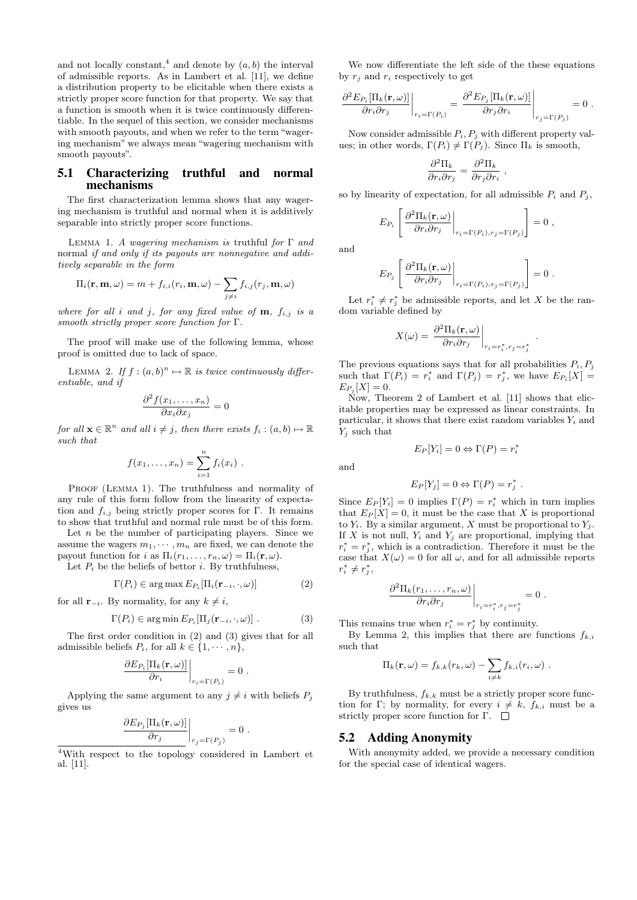and not locally constant,<sup>4</sup> and denote by  $(a, b)$  the interval of admissible reports. As in Lambert et al. [11], we define a distribution property to be elicitable when there exists a strictly proper score function for that property. We say that a function is smooth when it is twice continuously differentiable. In the sequel of this section, we consider mechanisms with smooth payouts, and when we refer to the term "wagering mechanism" we always mean "wagering mechanism with smooth payouts".

# 5.1 Characterizing truthful and normal mechanisms

The first characterization lemma shows that any wagering mechanism is truthful and normal when it is additively separable into strictly proper score functions.

LEMMA 1. A wagering mechanism is truthful for  $\Gamma$  and normal if and only if its payouts are nonnegative and additively separable in the form

$$
\Pi_i(\mathbf{r}, \mathbf{m}, \omega) = m + f_{i,i}(r_i, \mathbf{m}, \omega) - \sum_{j \neq i} f_{i,j}(r_j, \mathbf{m}, \omega)
$$

where for all i and j, for any fixed value of  $\mathbf{m}$ ,  $f_{i,j}$  is a smooth strictly proper score function for  $\Gamma$ .

The proof will make use of the following lemma, whose proof is omitted due to lack of space.

LEMMA 2. If  $f:(a,b)^n \mapsto \mathbb{R}$  is twice continuously differentiable, and if

$$
\frac{\partial^2 f(x_1,\ldots,x_n)}{\partial x_i \partial x_j} = 0
$$

for all  $\mathbf{x} \in \mathbb{R}^n$  and all  $i \neq j$ , then there exists  $f_i : (a, b) \mapsto \mathbb{R}$ such that

$$
f(x_1,\ldots,x_n)=\sum_{i=1}^n f_i(x_i).
$$

PROOF (LEMMA 1). The truthfulness and normality of any rule of this form follow from the linearity of expectation and  $f_{i,j}$  being strictly proper scores for Γ. It remains to show that truthful and normal rule must be of this form.

Let  $n$  be the number of participating players. Since we assume the wagers  $m_1, \dots, m_n$  are fixed, we can denote the payout function for i as  $\Pi_i(r_1,\ldots,r_n,\omega) = \Pi_i(\mathbf{r},\omega)$ .

Let  $P_i$  be the beliefs of bettor i. By truthfulness,

$$
\Gamma(P_i) \in \arg \max E_{P_i}[\Pi_i(\mathbf{r}_{-i}, \cdot, \omega)] \tag{2}
$$

for all  $\mathbf{r}_{-i}$ . By normality, for any  $k \neq i$ ,

$$
\Gamma(P_i) \in \arg\min E_{P_i}[\Pi_j(\mathbf{r}_{-i}, \cdot, \omega)] . \tag{3}
$$

The first order condition in (2) and (3) gives that for all admissible beliefs  $P_i$ , for all  $k \in \{1, \dots, n\}$ ,

$$
\frac{\partial E_{P_i}[\Pi_k(\mathbf{r},\omega)]}{\partial r_i}\bigg|_{r_i=\Gamma(P_i)}=0.
$$

Applying the same argument to any  $j \neq i$  with beliefs  $P_j$ gives us

$$
\frac{\partial E_{P_j}[\Pi_k(\mathbf{r},\omega)]}{\partial r_j}\bigg|_{r_j=\Gamma(P_j)}=0.
$$

<sup>4</sup>With respect to the topology considered in Lambert et al. [11].

We now differentiate the left side of the these equations by  $r_j$  and  $r_i$  respectively to get

$$
\left.\frac{\partial^2 E_{P_i}[\Pi_k(\mathbf{r},\omega)]}{\partial r_i \partial r_j}\right|_{r_i=\Gamma(P_i)} = \left.\frac{\partial^2 E_{P_j}[\Pi_k(\mathbf{r},\omega)]}{\partial r_j \partial r_i}\right|_{r_j=\Gamma(P_j)} = 0.
$$

Now consider admissible  $P_i, P_j$  with different property values; in other words,  $\Gamma(P_i) \neq \Gamma(P_j)$ . Since  $\Pi_k$  is smooth,

$$
\frac{\partial^2 \Pi_k}{\partial r_i \partial r_j} = \frac{\partial^2 \Pi_k}{\partial r_j \partial r_i} ,
$$

so by linearity of expectation, for all admissible  $P_i$  and  $P_j$ ,

$$
E_{P_i}\left[\left.\frac{\partial^2 \Pi_k(\mathbf{r},\omega)}{\partial r_i \partial r_j}\right|_{r_i=\Gamma(P_i),r_j=\Gamma(P_j)}\right]=0\;,
$$

and

$$
E_{P_j}\left[\left.\frac{\partial^2 \Pi_k(\mathbf{r},\omega)}{\partial r_i \partial r_j}\right|_{r_i=\Gamma(P_i),r_j=\Gamma(P_j)}\right]=0.
$$

Let  $r_i^* \neq r_j^*$  be admissible reports, and let X be the random variable defined by

$$
X(\omega) = \left. \frac{\partial^2 \Pi_k(\mathbf{r}, \omega)}{\partial r_i \partial r_j} \right|_{r_i = r_i^*, r_j = r_j^*}
$$

.

The previous equations says that for all probabilities  $P_i, P_j$ such that  $\Gamma(P_i) = r_i^*$  and  $\Gamma(P_j) = r_j^*$ , we have  $E_{P_i}[X] =$  $E_{P_j}[X] = 0.$ 

Now, Theorem 2 of Lambert et al. [11] shows that elicitable properties may be expressed as linear constraints. In particular, it shows that there exist random variables  $Y_i$  and  $Y_i$  such that

$$
E_P[Y_i] = 0 \Leftrightarrow \Gamma(P) = r_i^*
$$

and

$$
E_P[Y_j] = 0 \Leftrightarrow \Gamma(P) = r_j^*.
$$

Since  $E_P[Y_i] = 0$  implies  $\Gamma(P) = r_i^*$  which in turn implies that  $E_P[X] = 0$ , it must be the case that X is proportional to  $Y_i$ . By a similar argument, X must be proportional to  $Y_i$ . If X is not null,  $Y_i$  and  $Y_j$  are proportional, implying that  $r_i^* = r_j^*$ , which is a contradiction. Therefore it must be the case that  $X(\omega) = 0$  for all  $\omega$ , and for all admissible reports  $r_i^* \neq r_j^*$ ,

$$
\left. \frac{\partial^2 \Pi_k(r_1,\ldots,r_n,\omega)}{\partial r_i \partial r_j} \right|_{r_i=r_i^*,r_j=r_j^*} = 0.
$$

This remains true when  $r_i^* = r_j^*$  by continuity.

By Lemma 2, this implies that there are functions  $f_{k,i}$ such that

$$
\Pi_k(\mathbf{r},\omega) = f_{k,k}(r_k,\omega) - \sum_{i \neq k} f_{k,i}(r_i,\omega) .
$$

By truthfulness,  $f_{k,k}$  must be a strictly proper score function for Γ; by normality, for every  $i \neq k$ ,  $f_{k,i}$  must be a strictly proper score function for  $\Gamma$ .  $\Box$ 

#### 5.2 Adding Anonymity

With anonymity added, we provide a necessary condition for the special case of identical wagers.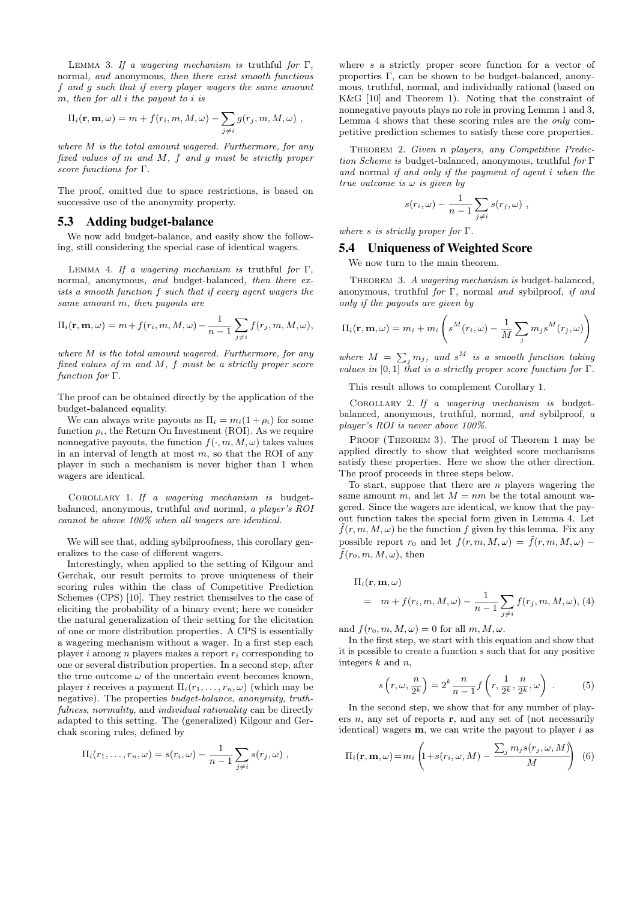LEMMA 3. If a wagering mechanism is truthful for  $\Gamma$ , normal, and anonymous, then there exist smooth functions f and g such that if every player wagers the same amount m, then for all i the payout to i is

$$
\Pi_i(\mathbf{r}, \mathbf{m}, \omega) = m + f(r_i, m, M, \omega) - \sum_{j \neq i} g(r_j, m, M, \omega) ,
$$

where  $M$  is the total amount wagered. Furthermore, for any fixed values of m and M, f and g must be strictly proper score functions for Γ.

The proof, omitted due to space restrictions, is based on successive use of the anonymity property.

#### 5.3 Adding budget-balance

We now add budget-balance, and easily show the following, still considering the special case of identical wagers.

LEMMA 4. If a wagering mechanism is truthful for  $\Gamma$ , normal, anonymous, and budget-balanced, then there exists a smooth function f such that if every agent wagers the same amount m, then payouts are

$$
\Pi_i(\mathbf{r}, \mathbf{m}, \omega) = m + f(r_i, m, M, \omega) - \frac{1}{n-1} \sum_{j \neq i} f(r_j, m, M, \omega),
$$

where  $M$  is the total amount wagered. Furthermore, for any fixed values of m and M, f must be a strictly proper score function for Γ.

The proof can be obtained directly by the application of the budget-balanced equality.

We can always write payouts as  $\Pi_i = m_i(1 + \rho_i)$  for some function  $\rho_i$ , the Return On Investment (ROI). As we require nonnegative payouts, the function  $f(\cdot, m, M, \omega)$  takes values in an interval of length at most  $m$ , so that the ROI of any player in such a mechanism is never higher than 1 when wagers are identical.

COROLLARY 1. If a wagering mechanism is budgetbalanced, anonymous, truthful and normal, a player's ROI cannot be above 100% when all wagers are identical.

We will see that, adding sybilproofness, this corollary generalizes to the case of different wagers.

Interestingly, when applied to the setting of Kilgour and Gerchak, our result permits to prove uniqueness of their scoring rules within the class of Competitive Prediction Schemes (CPS) [10]. They restrict themselves to the case of eliciting the probability of a binary event; here we consider the natural generalization of their setting for the elicitation of one or more distribution properties. A CPS is essentially a wagering mechanism without a wager. In a first step each player i among n players makes a report  $r_i$  corresponding to one or several distribution properties. In a second step, after the true outcome  $\omega$  of the uncertain event becomes known. player *i* receives a payment  $\Pi_i(r_1,\ldots,r_n,\omega)$  (which may be negative). The properties budget-balance, anonymity, truthfulness, normality, and *individual rationality* can be directly adapted to this setting. The (generalized) Kilgour and Gerchak scoring rules, defined by

$$
\Pi_i(r_1,\ldots,r_n,\omega)=s(r_i,\omega)-\frac{1}{n-1}\sum_{j\neq i}s(r_j,\omega),
$$

where  $s$  a strictly proper score function for a vector of properties Γ, can be shown to be budget-balanced, anonymous, truthful, normal, and individually rational (based on K&G [10] and Theorem 1). Noting that the constraint of nonnegative payouts plays no role in proving Lemma 1 and 3, Lemma 4 shows that these scoring rules are the only competitive prediction schemes to satisfy these core properties.

THEOREM 2. Given n players, any Competitive Prediction Scheme is budget-balanced, anonymous, truthful for Γ and normal if and only if the payment of agent i when the true outcome is  $\omega$  is given by

$$
s(r_i, \omega) - \frac{1}{n-1} \sum_{j \neq i} s(r_j, \omega) ,
$$

where s is strictly proper for  $\Gamma$ .

#### 5.4 Uniqueness of Weighted Score

We now turn to the main theorem.

THEOREM 3. A wagering mechanism is budget-balanced, anonymous, truthful for  $\Gamma$ , normal and sybilproof, if and only if the payouts are given by

$$
\Pi_i(\mathbf{r}, \mathbf{m}, \omega) = m_i + m_i \left( s^M(r_i, \omega) - \frac{1}{M} \sum_j m_j s^M(r_j, \omega) \right)
$$

where  $M = \sum_j m_j$ , and  $s^M$  is a smooth function taking values in [0, 1] that is a strictly proper score function for  $\Gamma$ .

This result allows to complement Corollary 1.

COROLLARY 2. If a wagering mechanism is budgetbalanced, anonymous, truthful, normal, and sybilproof, a player's ROI is never above 100%.

PROOF (THEOREM 3). The proof of Theorem 1 may be applied directly to show that weighted score mechanisms satisfy these properties. Here we show the other direction. The proof proceeds in three steps below.

To start, suppose that there are  $n$  players wagering the same amount m, and let  $M = nm$  be the total amount wagered. Since the wagers are identical, we know that the payout function takes the special form given in Lemma 4. Let  $f(r, m, M, \omega)$  be the function f given by this lemma. Fix any possible report  $r_0$  and let  $f(r, m, M, \omega) = \tilde{f}(r, m, M, \omega)$  –  $\tilde{f}(r_0, m, M, \omega)$ , then

$$
\Pi_i(\mathbf{r}, \mathbf{m}, \omega)
$$
  
=  $m + f(r_i, m, M, \omega) - \frac{1}{n-1} \sum_{j \neq i} f(r_j, m, M, \omega),$  (4)

and  $f(r_0, m, M, \omega) = 0$  for all  $m, M, \omega$ .

In the first step, we start with this equation and show that it is possible to create a function s such that for any positive integers  $k$  and  $n$ ,

$$
s\left(r,\omega,\frac{n}{2^k}\right) = 2^k \frac{n}{n-1} f\left(r,\frac{1}{2^k},\frac{n}{2^k},\omega\right) . \tag{5}
$$

In the second step, we show that for any number of players  $n$ , any set of reports  $r$ , and any set of (not necessarily identical) wagers  $m$ , we can write the payout to player i as

$$
\Pi_i(\mathbf{r}, \mathbf{m}, \omega) = m_i \left( 1 + s(r_i, \omega, M) - \frac{\sum_j m_j s(r_j, \omega, M)}{M} \right) \tag{6}
$$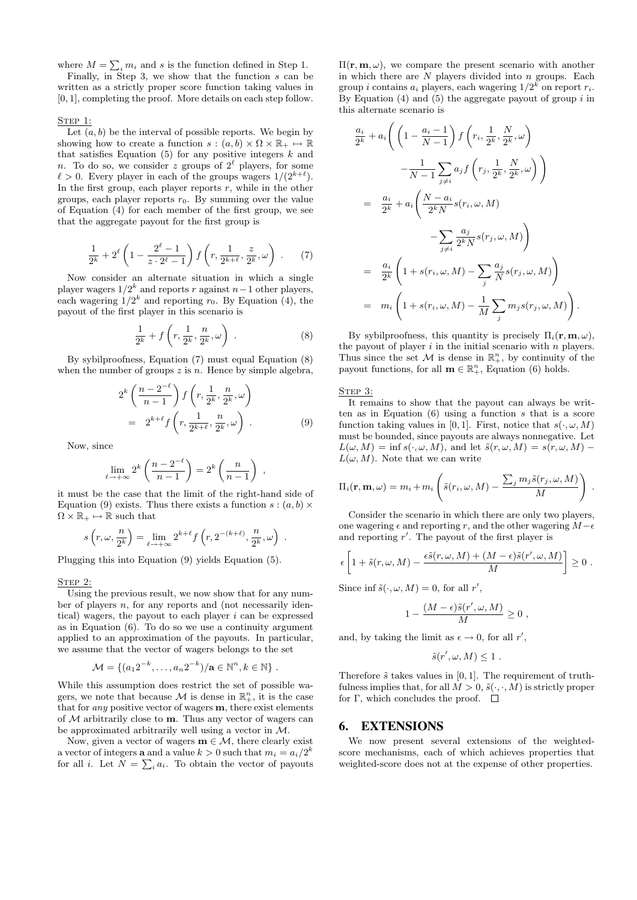where  $M = \sum_i m_i$  and s is the function defined in Step 1.

Finally, in Step 3, we show that the function  $s$  can be written as a strictly proper score function taking values in [0, 1], completing the proof. More details on each step follow.

#### $S$ TEP 1:

Let  $(a, b)$  be the interval of possible reports. We begin by showing how to create a function  $s : (a, b) \times \Omega \times \mathbb{R}_+ \mapsto \mathbb{R}$ that satisfies Equation  $(5)$  for any positive integers k and n. To do so, we consider z groups of  $2^{\ell}$  players, for some  $\ell > 0$ . Every player in each of the groups wagers  $1/(2^{k+\ell})$ . In the first group, each player reports  $r$ , while in the other groups, each player reports  $r_0$ . By summing over the value of Equation (4) for each member of the first group, we see that the aggregate payout for the first group is

$$
\frac{1}{2^k} + 2^{\ell} \left( 1 - \frac{2^{\ell} - 1}{z \cdot 2^{\ell} - 1} \right) f\left(r, \frac{1}{2^{k+\ell}}, \frac{z}{2^k}, \omega\right) . \tag{7}
$$

Now consider an alternate situation in which a single player wagers  $1/2^k$  and reports r against n-1 other players, each wagering  $1/2^k$  and reporting  $r_0$ . By Equation (4), the payout of the first player in this scenario is

$$
\frac{1}{2^k} + f\left(r, \frac{1}{2^k}, \frac{n}{2^k}, \omega\right) . \tag{8}
$$

By sybilproofness, Equation (7) must equal Equation (8) when the number of groups  $z$  is  $n$ . Hence by simple algebra,

$$
2^{k} \left(\frac{n-2^{-\ell}}{n-1}\right) f\left(r, \frac{1}{2^{k}}, \frac{n}{2^{k}}, \omega\right)
$$
  
= 
$$
2^{k+\ell} f\left(r, \frac{1}{2^{k+\ell}}, \frac{n}{2^{k}}, \omega\right).
$$
 (9)

Now, since

$$
\lim_{\ell \to +\infty} 2^k \left( \frac{n-2^{-\ell}}{n-1} \right) = 2^k \left( \frac{n}{n-1} \right) ,
$$

it must be the case that the limit of the right-hand side of Equation (9) exists. Thus there exists a function  $s : (a, b) \times$  $\Omega \times \mathbb{R}_+ \mapsto \mathbb{R}$  such that

$$
s\left(r,\omega,\frac{n}{2^k}\right) = \lim_{\ell \to +\infty} 2^{k+\ell} f\left(r, 2^{-(k+\ell)}, \frac{n}{2^k}, \omega\right) .
$$

Plugging this into Equation (9) yields Equation (5).

 $S$ TEP  $2$ :

Using the previous result, we now show that for any number of players  $n$ , for any reports and (not necessarily identical) wagers, the payout to each player  $i$  can be expressed as in Equation (6). To do so we use a continuity argument applied to an approximation of the payouts. In particular, we assume that the vector of wagers belongs to the set

$$
\mathcal{M} = \{ (a_1 2^{-k}, \dots, a_n 2^{-k})/\mathbf{a} \in \mathbb{N}^n, k \in \mathbb{N} \}.
$$

While this assumption does restrict the set of possible wagers, we note that because M is dense in  $\mathbb{R}^n_+$ , it is the case that for *any* positive vector of wagers  $m$ , there exist elements of  $M$  arbitrarily close to  $m$ . Thus any vector of wagers can be approximated arbitrarily well using a vector in M.

Now, given a vector of wagers  $m \in \mathcal{M}$ , there clearly exist a vector of integers **a** and a value  $k > 0$  such that  $m_i = a_i/2^k$ for all *i*. Let  $N = \sum_i a_i$ . To obtain the vector of payouts

 $\Pi({\bf r},{\bf m},\omega)$ , we compare the present scenario with another in which there are  $N$  players divided into  $n$  groups. Each group *i* contains  $a_i$  players, each wagering  $1/2^k$  on report  $r_i$ . By Equation  $(4)$  and  $(5)$  the aggregate payout of group i in this alternate scenario is

$$
\frac{a_i}{2^k} + a_i \left( \left( 1 - \frac{a_i - 1}{N - 1} \right) f \left( r_i, \frac{1}{2^k}, \frac{N}{2^k}, \omega \right) \right)
$$
\n
$$
- \frac{1}{N - 1} \sum_{j \neq i} a_j f \left( r_j, \frac{1}{2^k}, \frac{N}{2^k}, \omega \right) \right)
$$
\n
$$
= \frac{a_i}{2^k} + a_i \left( \frac{N - a_i}{2^k N} s(r_i, \omega, M) \right)
$$
\n
$$
- \sum_{j \neq i} \frac{a_j}{2^k N} s(r_j, \omega, M) \right)
$$
\n
$$
= \frac{a_i}{2^k} \left( 1 + s(r_i, \omega, M) - \sum_j \frac{a_j}{N} s(r_j, \omega, M) \right)
$$
\n
$$
= m_i \left( 1 + s(r_i, \omega, M) - \frac{1}{M} \sum_j m_j s(r_j, \omega, M) \right).
$$

By sybilproofness, this quantity is precisely  $\Pi_i(\mathbf{r}, \mathbf{m}, \omega)$ , the payout of player  $i$  in the initial scenario with  $n$  players. Thus since the set  $\mathcal M$  is dense in  $\mathbb{R}^n_+$ , by continuity of the payout functions, for all  $\mathbf{m} \in \mathbb{R}^n_+$ , Equation (6) holds.

STEP 3:

It remains to show that the payout can always be written as in Equation  $(6)$  using a function s that is a score function taking values in [0, 1]. First, notice that  $s(\cdot, \omega, M)$ must be bounded, since payouts are always nonnegative. Let  $L(\omega, M) = \inf s(\cdot, \omega, M)$ , and let  $\tilde{s}(r, \omega, M) = s(r, \omega, M)$  $L(\omega, M)$ . Note that we can write

$$
\Pi_i(\mathbf{r}, \mathbf{m}, \omega) = m_i + m_i \left( \tilde{s}(r_i, \omega, M) - \frac{\sum_j m_j \tilde{s}(r_j, \omega, M)}{M} \right) .
$$

Consider the scenario in which there are only two players, one wagering  $\epsilon$  and reporting r, and the other wagering  $M-\epsilon$ and reporting  $r'$ . The payout of the first player is

$$
\epsilon \left[ 1 + \tilde{s}(r, \omega, M) - \frac{\epsilon \tilde{s}(r, \omega, M) + (M - \epsilon) \tilde{s}(r', \omega, M)}{M} \right] \ge 0.
$$

Since inf  $\tilde{s}(\cdot, \omega, M) = 0$ , for all r',

$$
1-\frac{(M-\epsilon)\tilde{s}(r',\omega,M)}{M}\geq 0\ ,
$$

and, by taking the limit as  $\epsilon \to 0$ , for all r',

$$
\tilde{s}(r',\omega,M) \leq 1.
$$

Therefore  $\tilde{s}$  takes values in [0, 1]. The requirement of truthfulness implies that, for all  $M > 0$ ,  $\tilde{s}(\cdot, \cdot, M)$  is strictly proper for Γ, which concludes the proof.  $\square$ 

#### 6. EXTENSIONS

We now present several extensions of the weightedscore mechanisms, each of which achieves properties that weighted-score does not at the expense of other properties.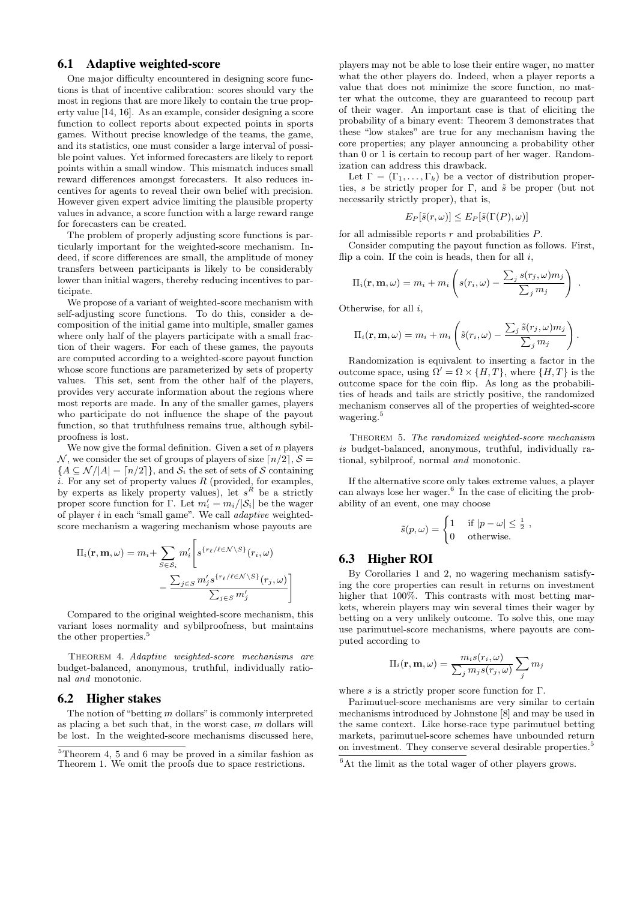#### 6.1 Adaptive weighted-score

One major difficulty encountered in designing score functions is that of incentive calibration: scores should vary the most in regions that are more likely to contain the true property value [14, 16]. As an example, consider designing a score function to collect reports about expected points in sports games. Without precise knowledge of the teams, the game, and its statistics, one must consider a large interval of possible point values. Yet informed forecasters are likely to report points within a small window. This mismatch induces small reward differences amongst forecasters. It also reduces incentives for agents to reveal their own belief with precision. However given expert advice limiting the plausible property values in advance, a score function with a large reward range for forecasters can be created.

The problem of properly adjusting score functions is particularly important for the weighted-score mechanism. Indeed, if score differences are small, the amplitude of money transfers between participants is likely to be considerably lower than initial wagers, thereby reducing incentives to participate.

We propose of a variant of weighted-score mechanism with self-adjusting score functions. To do this, consider a decomposition of the initial game into multiple, smaller games where only half of the players participate with a small fraction of their wagers. For each of these games, the payouts are computed according to a weighted-score payout function whose score functions are parameterized by sets of property values. This set, sent from the other half of the players, provides very accurate information about the regions where most reports are made. In any of the smaller games, players who participate do not influence the shape of the payout function, so that truthfulness remains true, although sybilproofness is lost.

We now give the formal definition. Given a set of  $n$  players N, we consider the set of groups of players of size  $\lceil n/2 \rceil$ ,  $S =$  ${A \subseteq \mathcal{N}/|A| = [n/2]}$ , and  $\mathcal{S}_i$  the set of sets of S containing  $i.$  For any set of property values  $R$  (provided, for examples, by experts as likely property values), let  $s^R$  be a strictly proper score function for Γ. Let  $m'_i = m_i/|\mathcal{S}_i|$  be the wager of player i in each "small game". We call adaptive weightedscore mechanism a wagering mechanism whose payouts are

$$
\Pi_i(\mathbf{r}, \mathbf{m}, \omega) = m_i + \sum_{S \in \mathcal{S}_i} m'_i \left[ s^{\{r_\ell/\ell \in \mathcal{N} \setminus S\}}(r_i, \omega) - \frac{\sum_{j \in S} m'_j s^{\{r_\ell/\ell \in \mathcal{N} \setminus S\}}(r_j, \omega)}{\sum_{j \in S} m'_j} \right]
$$

Compared to the original weighted-score mechanism, this variant loses normality and sybilproofness, but maintains the other properties.<sup>5</sup>

THEOREM 4. Adaptive weighted-score mechanisms are budget-balanced, anonymous, truthful, individually rational and monotonic.

## 6.2 Higher stakes

The notion of "betting  $m$  dollars" is commonly interpreted as placing a bet such that, in the worst case,  $m$  dollars will be lost. In the weighted-score mechanisms discussed here,

players may not be able to lose their entire wager, no matter what the other players do. Indeed, when a player reports a value that does not minimize the score function, no matter what the outcome, they are guaranteed to recoup part of their wager. An important case is that of eliciting the probability of a binary event: Theorem 3 demonstrates that these "low stakes" are true for any mechanism having the core properties; any player announcing a probability other than 0 or 1 is certain to recoup part of her wager. Randomization can address this drawback.

Let  $\Gamma = (\Gamma_1, \ldots, \Gamma_k)$  be a vector of distribution properties, s be strictly proper for Γ, and  $\tilde{s}$  be proper (but not necessarily strictly proper), that is,

$$
E_P[\tilde{s}(r,\omega)] \le E_P[\tilde{s}(\Gamma(P),\omega)]
$$

for all admissible reports  $r$  and probabilities  $P$ .

Consider computing the payout function as follows. First, flip a coin. If the coin is heads, then for all  $i$ ,

$$
\Pi_i(\mathbf{r}, \mathbf{m}, \omega) = m_i + m_i \left( s(r_i, \omega) - \frac{\sum_j s(r_j, \omega) m_j}{\sum_j m_j} \right) .
$$

Otherwise, for all  $i$ ,

$$
\Pi_i(\mathbf{r}, \mathbf{m}, \omega) = m_i + m_i \left( \tilde{s}(r_i, \omega) - \frac{\sum_j \tilde{s}(r_j, \omega) m_j}{\sum_j m_j} \right).
$$

Randomization is equivalent to inserting a factor in the outcome space, using  $\Omega' = \Omega \times \{H, T\}$ , where  $\{H, T\}$  is the outcome space for the coin flip. As long as the probabilities of heads and tails are strictly positive, the randomized mechanism conserves all of the properties of weighted-score wagering.<sup>5</sup>

THEOREM 5. The randomized weighted-score mechanism is budget-balanced, anonymous, truthful, individually rational, sybilproof, normal and monotonic.

If the alternative score only takes extreme values, a player can always lose her wager.<sup>6</sup> In the case of eliciting the probability of an event, one may choose

$$
\tilde{s}(p,\omega) = \begin{cases} 1 & \text{if } |p-\omega| \leq \frac{1}{2} ,\\ 0 & \text{otherwise.} \end{cases}
$$

# 6.3 Higher ROI

By Corollaries 1 and 2, no wagering mechanism satisfying the core properties can result in returns on investment higher that 100%. This contrasts with most betting markets, wherein players may win several times their wager by betting on a very unlikely outcome. To solve this, one may use parimutuel-score mechanisms, where payouts are computed according to

$$
\Pi_i(\mathbf{r},\mathbf{m},\omega) = \frac{m_i s(r_i,\omega)}{\sum_j m_j s(r_j,\omega)} \sum_j m_j
$$

where s is a strictly proper score function for  $\Gamma$ .

Parimutuel-score mechanisms are very similar to certain mechanisms introduced by Johnstone [8] and may be used in the same context. Like horse-race type parimutuel betting markets, parimutuel-score schemes have unbounded return on investment. They conserve several desirable properties.<sup>5</sup>

 $5$ Theorem 4, 5 and 6 may be proved in a similar fashion as Theorem 1. We omit the proofs due to space restrictions.

 ${}^{6}$ At the limit as the total wager of other players grows.